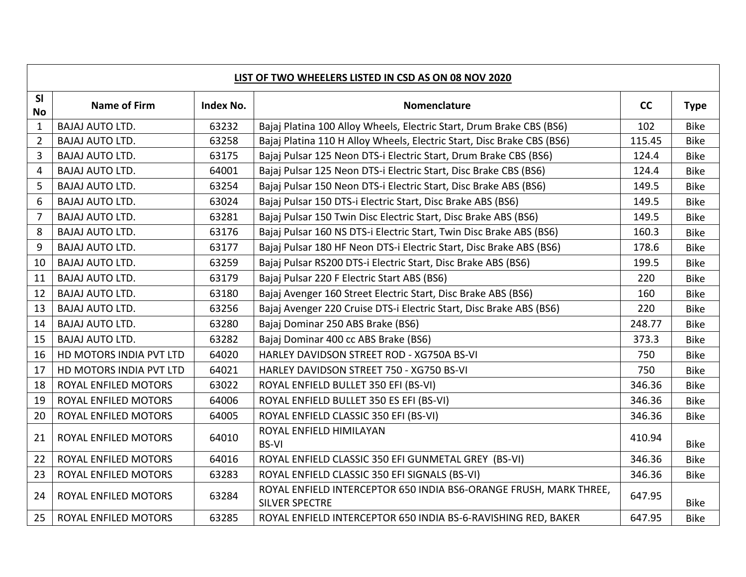| LIST OF TWO WHEELERS LISTED IN CSD AS ON 08 NOV 2020 |                         |           |                                                                                            |        |             |  |  |  |
|------------------------------------------------------|-------------------------|-----------|--------------------------------------------------------------------------------------------|--------|-------------|--|--|--|
| SI<br><b>No</b>                                      | <b>Name of Firm</b>     | Index No. | Nomenclature                                                                               | cc     | <b>Type</b> |  |  |  |
| $\mathbf{1}$                                         | <b>BAJAJ AUTO LTD.</b>  | 63232     | Bajaj Platina 100 Alloy Wheels, Electric Start, Drum Brake CBS (BS6)                       | 102    | <b>Bike</b> |  |  |  |
| $\overline{2}$                                       | <b>BAJAJ AUTO LTD.</b>  | 63258     | Bajaj Platina 110 H Alloy Wheels, Electric Start, Disc Brake CBS (BS6)                     | 115.45 | <b>Bike</b> |  |  |  |
| 3                                                    | <b>BAJAJ AUTO LTD.</b>  | 63175     | Bajaj Pulsar 125 Neon DTS-i Electric Start, Drum Brake CBS (BS6)                           | 124.4  | <b>Bike</b> |  |  |  |
| 4                                                    | <b>BAJAJ AUTO LTD.</b>  | 64001     | Bajaj Pulsar 125 Neon DTS-i Electric Start, Disc Brake CBS (BS6)                           | 124.4  | <b>Bike</b> |  |  |  |
| 5                                                    | <b>BAJAJ AUTO LTD.</b>  | 63254     | Bajaj Pulsar 150 Neon DTS-i Electric Start, Disc Brake ABS (BS6)                           | 149.5  | <b>Bike</b> |  |  |  |
| 6                                                    | <b>BAJAJ AUTO LTD.</b>  | 63024     | Bajaj Pulsar 150 DTS-i Electric Start, Disc Brake ABS (BS6)                                | 149.5  | <b>Bike</b> |  |  |  |
| $\overline{7}$                                       | <b>BAJAJ AUTO LTD.</b>  | 63281     | Bajaj Pulsar 150 Twin Disc Electric Start, Disc Brake ABS (BS6)                            | 149.5  | <b>Bike</b> |  |  |  |
| 8                                                    | <b>BAJAJ AUTO LTD.</b>  | 63176     | Bajaj Pulsar 160 NS DTS-i Electric Start, Twin Disc Brake ABS (BS6)                        | 160.3  | <b>Bike</b> |  |  |  |
| 9                                                    | <b>BAJAJ AUTO LTD.</b>  | 63177     | Bajaj Pulsar 180 HF Neon DTS-i Electric Start, Disc Brake ABS (BS6)                        | 178.6  | <b>Bike</b> |  |  |  |
| 10                                                   | <b>BAJAJ AUTO LTD.</b>  | 63259     | Bajaj Pulsar RS200 DTS-i Electric Start, Disc Brake ABS (BS6)                              | 199.5  | <b>Bike</b> |  |  |  |
| 11                                                   | <b>BAJAJ AUTO LTD.</b>  | 63179     | Bajaj Pulsar 220 F Electric Start ABS (BS6)                                                | 220    | <b>Bike</b> |  |  |  |
| 12                                                   | <b>BAJAJ AUTO LTD.</b>  | 63180     | Bajaj Avenger 160 Street Electric Start, Disc Brake ABS (BS6)                              | 160    | <b>Bike</b> |  |  |  |
| 13                                                   | <b>BAJAJ AUTO LTD.</b>  | 63256     | Bajaj Avenger 220 Cruise DTS-i Electric Start, Disc Brake ABS (BS6)                        | 220    | <b>Bike</b> |  |  |  |
| 14                                                   | <b>BAJAJ AUTO LTD.</b>  | 63280     | Bajaj Dominar 250 ABS Brake (BS6)                                                          | 248.77 | <b>Bike</b> |  |  |  |
| 15                                                   | <b>BAJAJ AUTO LTD.</b>  | 63282     | Bajaj Dominar 400 cc ABS Brake (BS6)                                                       | 373.3  | <b>Bike</b> |  |  |  |
| 16                                                   | HD MOTORS INDIA PVT LTD | 64020     | HARLEY DAVIDSON STREET ROD - XG750A BS-VI                                                  | 750    | <b>Bike</b> |  |  |  |
| 17                                                   | HD MOTORS INDIA PVT LTD | 64021     | HARLEY DAVIDSON STREET 750 - XG750 BS-VI                                                   | 750    | <b>Bike</b> |  |  |  |
| 18                                                   | ROYAL ENFILED MOTORS    | 63022     | ROYAL ENFIELD BULLET 350 EFI (BS-VI)                                                       | 346.36 | <b>Bike</b> |  |  |  |
| 19                                                   | ROYAL ENFILED MOTORS    | 64006     | ROYAL ENFIELD BULLET 350 ES EFI (BS-VI)                                                    | 346.36 | <b>Bike</b> |  |  |  |
| 20                                                   | ROYAL ENFILED MOTORS    | 64005     | ROYAL ENFIELD CLASSIC 350 EFI (BS-VI)                                                      | 346.36 | <b>Bike</b> |  |  |  |
| 21                                                   | ROYAL ENFILED MOTORS    | 64010     | ROYAL ENFIELD HIMILAYAN<br><b>BS-VI</b>                                                    | 410.94 | <b>Bike</b> |  |  |  |
| 22                                                   | ROYAL ENFILED MOTORS    | 64016     | ROYAL ENFIELD CLASSIC 350 EFI GUNMETAL GREY (BS-VI)                                        | 346.36 | <b>Bike</b> |  |  |  |
| 23                                                   | ROYAL ENFILED MOTORS    | 63283     | ROYAL ENFIELD CLASSIC 350 EFI SIGNALS (BS-VI)                                              | 346.36 | <b>Bike</b> |  |  |  |
| 24                                                   | ROYAL ENFILED MOTORS    | 63284     | ROYAL ENFIELD INTERCEPTOR 650 INDIA BS6-ORANGE FRUSH, MARK THREE,<br><b>SILVER SPECTRE</b> | 647.95 | <b>Bike</b> |  |  |  |
| 25                                                   | ROYAL ENFILED MOTORS    | 63285     | ROYAL ENFIELD INTERCEPTOR 650 INDIA BS-6-RAVISHING RED, BAKER                              | 647.95 | <b>Bike</b> |  |  |  |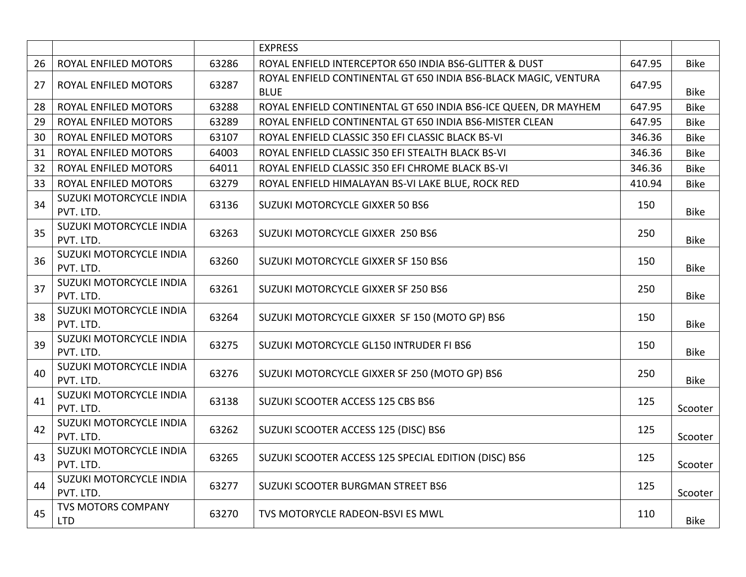|    |                                         |       | <b>EXPRESS</b>                                                                 |        |             |
|----|-----------------------------------------|-------|--------------------------------------------------------------------------------|--------|-------------|
| 26 | ROYAL ENFILED MOTORS                    | 63286 | ROYAL ENFIELD INTERCEPTOR 650 INDIA BS6-GLITTER & DUST                         | 647.95 | <b>Bike</b> |
| 27 | ROYAL ENFILED MOTORS                    | 63287 | ROYAL ENFIELD CONTINENTAL GT 650 INDIA BS6-BLACK MAGIC, VENTURA<br><b>BLUE</b> | 647.95 | <b>Bike</b> |
| 28 | ROYAL ENFILED MOTORS                    | 63288 | ROYAL ENFIELD CONTINENTAL GT 650 INDIA BS6-ICE QUEEN, DR MAYHEM                | 647.95 | <b>Bike</b> |
| 29 | ROYAL ENFILED MOTORS                    | 63289 | ROYAL ENFIELD CONTINENTAL GT 650 INDIA BS6-MISTER CLEAN                        | 647.95 | <b>Bike</b> |
| 30 | ROYAL ENFILED MOTORS                    | 63107 | ROYAL ENFIELD CLASSIC 350 EFI CLASSIC BLACK BS-VI                              | 346.36 | <b>Bike</b> |
| 31 | ROYAL ENFILED MOTORS                    | 64003 | ROYAL ENFIELD CLASSIC 350 EFI STEALTH BLACK BS-VI                              | 346.36 | <b>Bike</b> |
| 32 | ROYAL ENFILED MOTORS                    | 64011 | ROYAL ENFIELD CLASSIC 350 EFI CHROME BLACK BS-VI                               | 346.36 | <b>Bike</b> |
| 33 | ROYAL ENFILED MOTORS                    | 63279 | ROYAL ENFIELD HIMALAYAN BS-VI LAKE BLUE, ROCK RED                              | 410.94 | <b>Bike</b> |
| 34 | SUZUKI MOTORCYCLE INDIA<br>PVT. LTD.    | 63136 | SUZUKI MOTORCYCLE GIXXER 50 BS6                                                | 150    | <b>Bike</b> |
| 35 | SUZUKI MOTORCYCLE INDIA<br>PVT. LTD.    | 63263 | SUZUKI MOTORCYCLE GIXXER 250 BS6                                               | 250    | <b>Bike</b> |
| 36 | SUZUKI MOTORCYCLE INDIA<br>PVT. LTD.    | 63260 | SUZUKI MOTORCYCLE GIXXER SF 150 BS6                                            | 150    | <b>Bike</b> |
| 37 | SUZUKI MOTORCYCLE INDIA<br>PVT. LTD.    | 63261 | SUZUKI MOTORCYCLE GIXXER SF 250 BS6                                            | 250    | <b>Bike</b> |
| 38 | SUZUKI MOTORCYCLE INDIA<br>PVT. LTD.    | 63264 | SUZUKI MOTORCYCLE GIXXER SF 150 (MOTO GP) BS6                                  | 150    | <b>Bike</b> |
| 39 | SUZUKI MOTORCYCLE INDIA<br>PVT. LTD.    | 63275 | SUZUKI MOTORCYCLE GL150 INTRUDER FI BS6                                        | 150    | <b>Bike</b> |
| 40 | SUZUKI MOTORCYCLE INDIA<br>PVT. LTD.    | 63276 | SUZUKI MOTORCYCLE GIXXER SF 250 (MOTO GP) BS6                                  | 250    | <b>Bike</b> |
| 41 | SUZUKI MOTORCYCLE INDIA<br>PVT. LTD.    | 63138 | SUZUKI SCOOTER ACCESS 125 CBS BS6                                              | 125    | Scooter     |
| 42 | SUZUKI MOTORCYCLE INDIA<br>PVT. LTD.    | 63262 | SUZUKI SCOOTER ACCESS 125 (DISC) BS6                                           | 125    | Scooter     |
| 43 | SUZUKI MOTORCYCLE INDIA<br>PVT. LTD.    | 63265 | SUZUKI SCOOTER ACCESS 125 SPECIAL EDITION (DISC) BS6                           | 125    | Scooter     |
| 44 | SUZUKI MOTORCYCLE INDIA<br>PVT. LTD.    | 63277 | SUZUKI SCOOTER BURGMAN STREET BS6                                              | 125    | Scooter     |
| 45 | <b>TVS MOTORS COMPANY</b><br><b>LTD</b> | 63270 | TVS MOTORYCLE RADEON-BSVI ES MWL                                               | 110    | <b>Bike</b> |